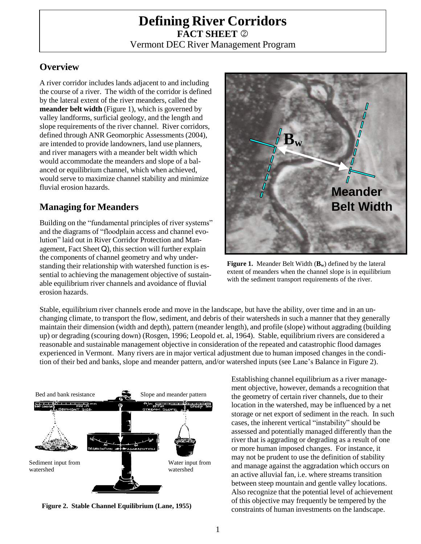# **Defining River Corridors FACT SHEET**  Vermont DEC River Management Program

### **Overview**

A river corridor includes lands adjacent to and including the course of a river. The width of the corridor is defined by the lateral extent of the river meanders, called the **meander belt width** (Figure 1), which is governed by valley landforms, surficial geology, and the length and slope requirements of the river channel. River corridors, defined through ANR Geomorphic Assessments (2004), are intended to provide landowners, land use planners, and river managers with a meander belt width which would accommodate the meanders and slope of a balanced or equilibrium channel, which when achieved, would serve to maximize channel stability and minimize fluvial erosion hazards.

# **Managing for Meanders**

Building on the "fundamental principles of river systems" and the diagrams of "floodplain access and channel evolution" laid out in River Corridor Protection and Management, Fact Sheet Q), this section will further explain the components of channel geometry and why understanding their relationship with watershed function is essential to achieving the management objective of sustainable equilibrium river channels and avoidance of fluvial erosion hazards.



**Figure 1.** Meander Belt Width (**Bw**) defined by the lateral extent of meanders when the channel slope is in equilibrium with the sediment transport requirements of the river.

Stable, equilibrium river channels erode and move in the landscape, but have the ability, over time and in an unchanging climate, to transport the flow, sediment, and debris of their watersheds in such a manner that they generally maintain their dimension (width and depth), pattern (meander length), and profile (slope) without aggrading (building up) or degrading (scouring down) (Rosgen, 1996; Leopold et. al, 1964). Stable, equilibrium rivers are considered a reasonable and sustainable management objective in consideration of the repeated and catastrophic flood damages experienced in Vermont. Many rivers are in major vertical adjustment due to human imposed changes in the condition of their bed and banks, slope and meander pattern, and/or watershed inputs (see Lane's Balance in Figure 2).



**Figure 2. Stable Channel Equilibrium (Lane, 1955)**

Establishing channel equilibrium as a river management objective, however, demands a recognition that the geometry of certain river channels, due to their location in the watershed, may be influenced by a net storage or net export of sediment in the reach. In such cases, the inherent vertical "instability" should be assessed and potentially managed differently than the river that is aggrading or degrading as a result of one or more human imposed changes. For instance, it may not be prudent to use the definition of stability and manage against the aggradation which occurs on an active alluvial fan, i.e. where streams transition between steep mountain and gentle valley locations. Also recognize that the potential level of achievement of this objective may frequently be tempered by the constraints of human investments on the landscape.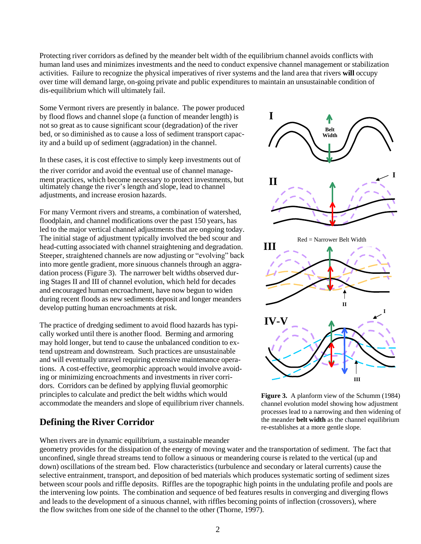Protecting river corridors as defined by the meander belt width of the equilibrium channel avoids conflicts with human land uses and minimizes investments and the need to conduct expensive channel management or stabilization activities. Failure to recognize the physical imperatives of river systems and the land area that rivers **will** occupy over time will demand large, on-going private and public expenditures to maintain an unsustainable condition of dis-equilibrium which will ultimately fail.

Some Vermont rivers are presently in balance. The power produced by flood flows and channel slope (a function of meander length) is not so great as to cause significant scour (degradation) of the river bed, or so diminished as to cause a loss of sediment transport capacity and a build up of sediment (aggradation) in the channel.

In these cases, it is cost effective to simply keep investments out of the river corridor and avoid the eventual use of channel management practices, which become necessary to protect investments, but<br> **II** ultimately change the river's length and slope, lead to channel adjustments, and increase erosion hazards.

For many Vermont rivers and streams, a combination of watershed, floodplain, and channel modifications over the past 150 years, has led to the major vertical channel adjustments that are ongoing today. The initial stage of adjustment typically involved the bed scour and head-cutting associated with channel straightening and degradation. Steeper, straightened channels are now adjusting or "evolving" back into more gentle gradient, more sinuous channels through an aggradation process (Figure 3). The narrower belt widths observed during Stages II and III of channel evolution, which held for decades and encouraged human encroachment, have now begun to widen during recent floods as new sediments deposit and longer meanders develop putting human encroachments at risk.

The practice of dredging sediment to avoid flood hazards has typically worked until there is another flood. Berming and armoring may hold longer, but tend to cause the unbalanced condition to extend upstream and downstream. Such practices are unsustainable and will eventually unravel requiring extensive maintenance operations. A cost-effective, geomorphic approach would involve avoiding or minimizing encroachments and investments in river corridors. Corridors can be defined by applying fluvial geomorphic principles to calculate and predict the belt widths which would accommodate the meanders and slope of equilibrium river channels.

## **Defining the River Corridor**

When rivers are in dynamic equilibrium, a sustainable meander





**Figure 3.** A planform view of the Schumm (1984) channel evolution model showing how adjustment processes lead to a narrowing and then widening of the meander **belt width** as the channel equilibrium re-establishes at a more gentle slope.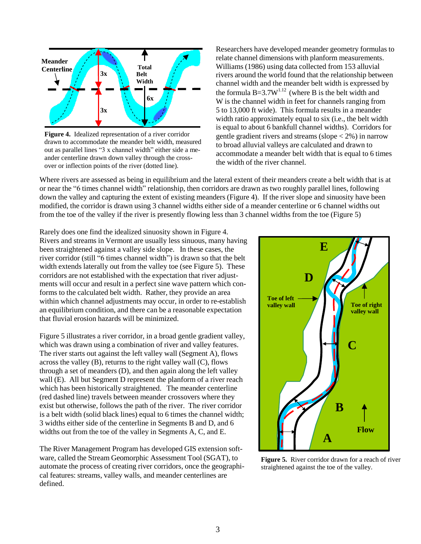

**Figure 4.** Idealized representation of a river corridor drawn to accommodate the meander belt width, measured out as parallel lines "3 x channel width" either side a meander centerline drawn down valley through the crossover or inflection points of the river (dotted line).

Researchers have developed meander geometry formulas to relate channel dimensions with planform measurements. Williams (1986) using data collected from 153 alluvial rivers around the world found that the relationship between channel width and the meander belt width is expressed by the formula  $B=3.7W^{1.12}$  (where B is the belt width and W is the channel width in feet for channels ranging from 5 to 13,000 ft wide). This formula results in a meander width ratio approximately equal to six (i.e., the belt width is equal to about 6 bankfull channel widths). Corridors for gentle gradient rivers and streams (slope  $<$  2%) in narrow to broad alluvial valleys are calculated and drawn to accommodate a meander belt width that is equal to 6 times the width of the river channel.

Where rivers are assessed as being in equilibrium and the lateral extent of their meanders create a belt width that is at or near the "6 times channel width" relationship, then corridors are drawn as two roughly parallel lines, following down the valley and capturing the extent of existing meanders (Figure 4). If the river slope and sinuosity have been modified, the corridor is drawn using 3 channel widths either side of a meander centerline or 6 channel widths out from the toe of the valley if the river is presently flowing less than 3 channel widths from the toe (Figure 5)

Rarely does one find the idealized sinuosity shown in Figure 4. Rivers and streams in Vermont are usually less sinuous, many having been straightened against a valley side slope. In these cases, the river corridor (still "6 times channel width") is drawn so that the belt width extends laterally out from the valley toe (see Figure 5). These corridors are not established with the expectation that river adjustments will occur and result in a perfect sine wave pattern which conforms to the calculated belt width. Rather, they provide an area within which channel adjustments may occur, in order to re-establish an equilibrium condition, and there can be a reasonable expectation that fluvial erosion hazards will be minimized.

Figure 5 illustrates a river corridor, in a broad gentle gradient valley, which was drawn using a combination of river and valley features. The river starts out against the left valley wall (Segment A), flows across the valley (B), returns to the right valley wall (C), flows through a set of meanders (D), and then again along the left valley wall (E). All but Segment D represent the planform of a river reach which has been historically straightened. The meander centerline (red dashed line) travels between meander crossovers where they exist but otherwise, follows the path of the river. The river corridor is a belt width (solid black lines) equal to 6 times the channel width; 3 widths either side of the centerline in Segments B and D, and 6 widths out from the toe of the valley in Segments A, C, and E.

The River Management Program has developed GIS extension software, called the Stream Geomorphic Assessment Tool (SGAT), to automate the process of creating river corridors, once the geographical features: streams, valley walls, and meander centerlines are defined.



**Figure 5.** River corridor drawn for a reach of river straightened against the toe of the valley.